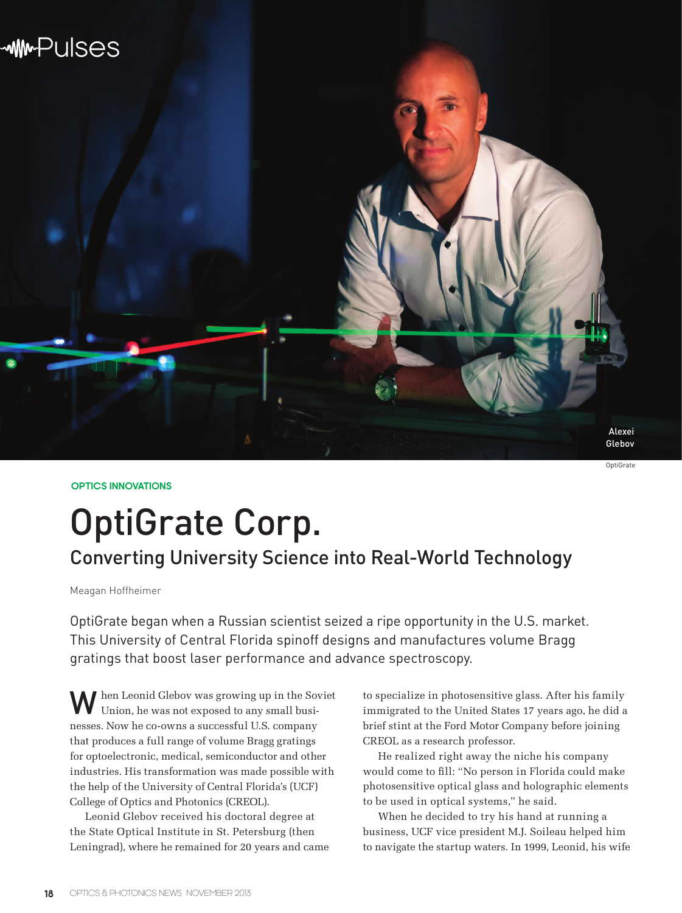

**OPTICS INNOVATIONS**

# OptiGrate Corp.

## Converting University Science into Real-World Technology

Meagan Hoffheimer

OptiGrate began when a Russian scientist seized a ripe opportunity in the U.S. market. This University of Central Florida spinoff designs and manufactures volume Bragg gratings that boost laser performance and advance spectroscopy.

When Leonid Glebov was growing up in the Soviet Union, he was not exposed to any small businesses. Now he co-owns a successful U.S. company that produces a full range of volume Bragg gratings for optoelectronic, medical, semiconductor and other industries. His transformation was made possible with the help of the University of Central Florida's (UCF) College of Optics and Photonics (CREOL).

Leonid Glebov received his doctoral degree at the State Optical Institute in St. Petersburg (then Leningrad), where he remained for 20 years and came to specialize in photosensitive glass. After his family immigrated to the United States 17 years ago, he did a brief stint at the Ford Motor Company before joining CREOL as a research professor.

He realized right away the niche his company would come to fill: "No person in Florida could make photosensitive optical glass and holographic elements to be used in optical systems," he said.

When he decided to try his hand at running a business, UCF vice president M.J. Soileau helped him to navigate the startup waters. In 1999, Leonid, his wife